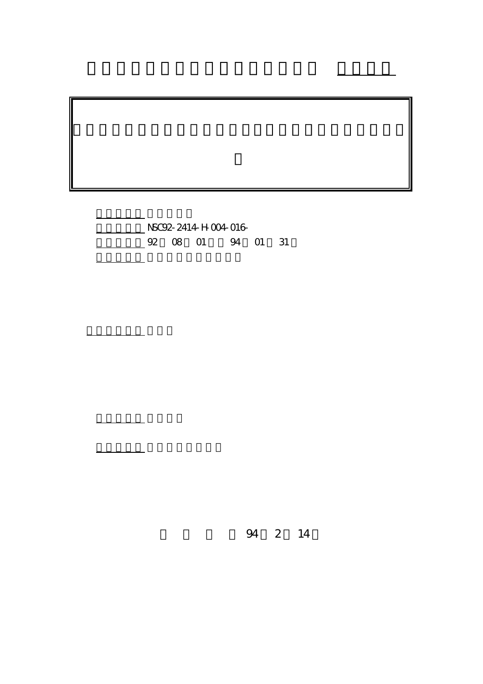計畫編號: NSC92-2414-H-004-016- 4 01 92 08 01 94 01 31

執行單位: 國立政治大學外文中心

計畫主持人: 張台麟

報告類型: 精簡報告

。<br>在前書 : 本計畫可公開查

行政院國家科學委員會專題研究計畫 成果報告

94 2 14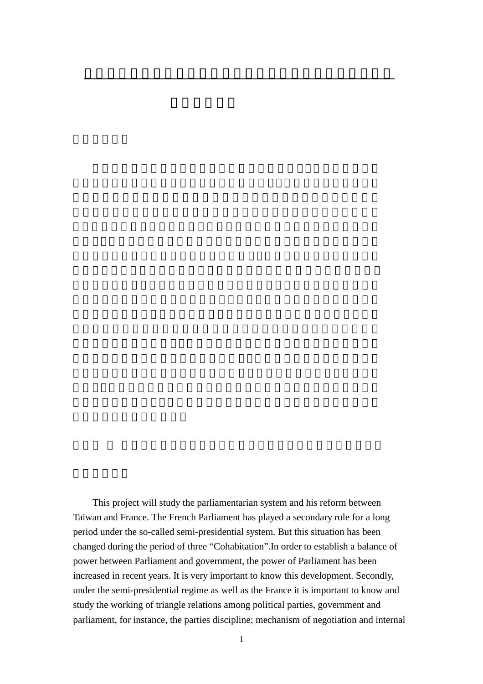This project will study the parliamentarian system and his reform between Taiwan and France. The French Parliament has played a secondary role for a long period under the so-called semi-presidential system. But this situation has been changed during the period of three "Cohabitation".In order to establish a balance of power between Parliament and government, the power of Parliament has been increased in recent years. It is very important to know this development. Secondly, under the semi-presidential regime as well as the France it is important to know and study the working of triangle relations among political parties, government and parliament, for instance, the parties discipline; mechanism of negotiation and internal

雙首長制下的國會制度比較研究:我國與法國第五共和之比較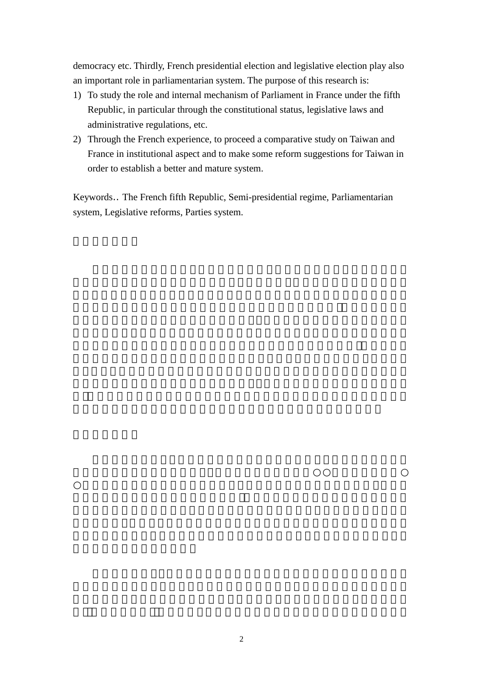democracy etc. Thirdly, French presidential election and legislative election play also an important role in parliamentarian system. The purpose of this research is:

- 1) To study the role and internal mechanism of Parliament in France under the fifth Republic, in particular through the constitutional status, legislative laws and administrative regulations, etc.
- 2) Through the French experience, to proceed a comparative study on Taiwan and France in institutional aspect and to make some reform suggestions for Taiwan in order to establish a better and mature system.

Keywords The French fifth Republic, Semi-presidential regime, Parliamentarian system, Legislative reforms, Parties system.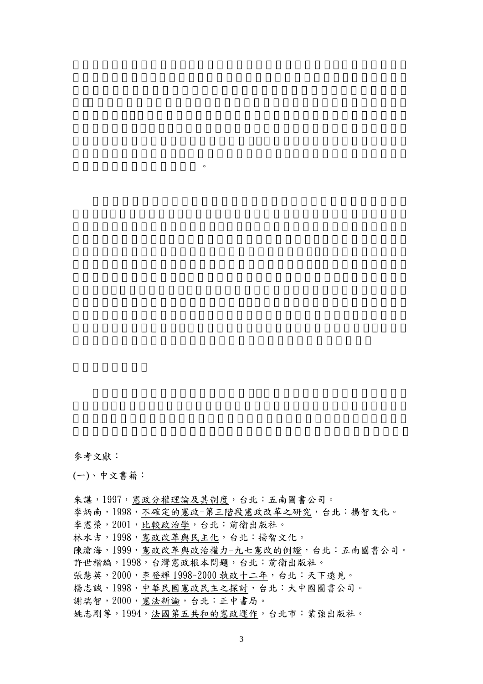參考文獻:

(一)、中文書籍:

的我國較佳且可行的解決之道。

朱諶,1997, 憲政分權理論及其制度, 台北: 五南圖書公司。 李炳南,1998,不確定的憲政-第三階段憲政改革之研究,台北:揚智文化。 李憲榮,2001,比較政治學,台北:前衛出版社。 林水吉,1998, 憲政改革與民主化, 台北: 揚智文化。 陳滄海,1999,憲政改革與政治權力-九七憲改的例證,台北:五南圖書公司。 許世楷編,1998,台灣憲政根本問題,台北:前衛出版社。 張慧英,2000,李登輝 1998~2000 執政十二年,台北:天下遠見。 楊志誠,1998,中華民國憲政民主之探討,台北:大中國圖書公司。 謝瑞智,2000,憲法新論,台北:正中書局。 姚志剛等,1994,法國第五共和的憲政運作,台北市:業強出版社。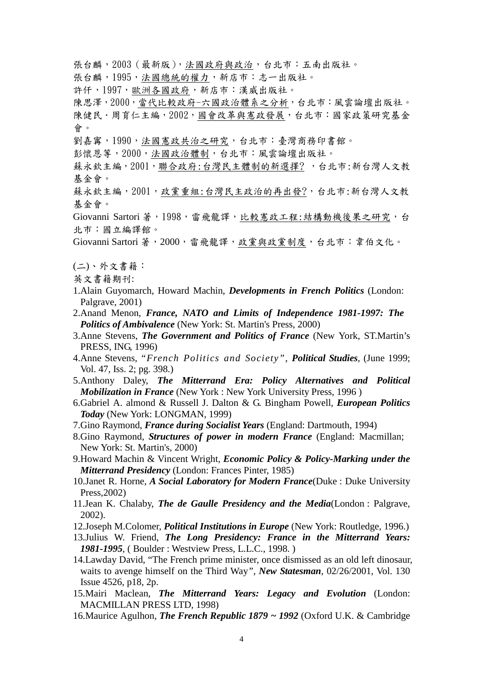張台麟, 2003 (最新版), 法國政府與政治, 台北市: 五南出版社。

張台麟,1995,法國總統的權力,新店市:志一出版社。

許仟,1997,歐洲各國政府,新店市:漢威出版社。

陳思澤, 2000, 當代比較政府-六國政治體系之分析, 台北市: 風雲論壇出版社。 陳健民·周育仁主編, 2002, 國會改革與憲政發展, 台北市:國家政策研究基金 會。

劉嘉寗,1990,法國憲政共治之研究,台北市:臺灣商務印書館。

彭懷恩等,2000,法國政治體制,台北市:風雲論壇出版社。

蘇永欽主編, 2001, 聯合政府:台灣民主體制的新選擇?, 台北市:新台灣人文教 基金會。

蘇永欽主編,2001,政黨重組:台灣民主政治的再出發?,台北市:新台灣人文教 基金會。

Giovanni Sartori 著, 1998, 雷飛龍譯, 比較憲政工程:結構動機後果之研究, 台 北市:國立編譯館。

Giovanni Sartori 著, 2000, 雷飛龍譯,政黨與政黨制度, 台北市: 韋伯文化。

(二)、外文書籍:

英文書籍期刊:

- 1.Alain Guyomarch, Howard Machin, *Developments in French Politics* (London: Palgrave, 2001)
- 2.Anand Menon, *France, NATO and Limits of Independence 1981-1997: The Politics of Ambivalence* (New York: St. Martin's Press, 2000)
- 3.Anne Stevens, *The Government and Politics of France* (New York, ST.Martin's PRESS, ING, 1996)
- 4.Anne Stevens, "*French Politics and Society"*, *Political Studies*, (June 1999; Vol. 47, Iss. 2; pg. 398.)
- 5.Anthony Daley, *The Mitterrand Era: Policy Alternatives and Political Mobilization in France* (New York : New York University Press, 1996 )
- 6.Gabriel A. almond & Russell J. Dalton & G. Bingham Powell, *European Politics Today* (New York: LONGMAN, 1999)
- 7.Gino Raymond, *France during Socialist Years* (England: Dartmouth, 1994)
- 8.Gino Raymond, *Structures of power in modern France* (England: Macmillan; New York: St. Martin's, 2000)

9.Howard Machin & Vincent Wright, *Economic Policy & Policy-Marking under the Mitterrand Presidency* (London: Frances Pinter, 1985)

10.Janet R. Horne, *A Social Laboratory for Modern France*(Duke : Duke University Press,2002)

- 11.Jean K. Chalaby, *The de Gaulle Presidency and the Media*(London : Palgrave, 2002).
- 12.Joseph M.Colomer, *Political Institutions in Europe* (New York: Routledge, 1996.)
- 13.Julius W. Friend, *The Long Presidency: France in the Mitterrand Years: 1981-1995*, ( Boulder : Westview Press, L.L.C., 1998. )
- 14.Lawday David, "The French prime minister, once dismissed as an old left dinosaur, waits to avenge himself on the Third Way*"*, *New Statesman*, 02/26/2001, Vol. 130 Issue 4526, p18, 2p.
- 15.Mairi Maclean, *The Mitterrand Years: Legacy and Evolution* (London: MACMILLAN PRESS LTD, 1998)
- 16.Maurice Agulhon, *The French Republic 1879 ~ 1992* (Oxford U.K. & Cambridge